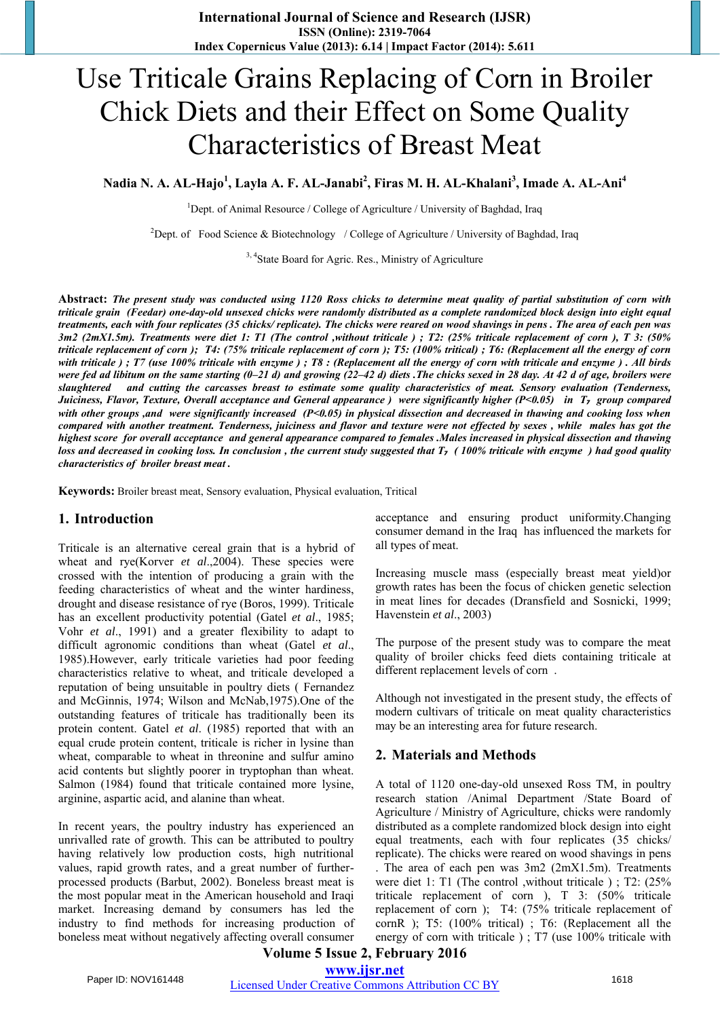# Use Triticale Grains Replacing of Corn in Broiler Chick Diets and their Effect on Some Quality Characteristics of Breast Meat

**Nadia N. A. AL-Hajo<sup>1</sup> , Layla A. F. AL-Janabi<sup>2</sup> , Firas M. H. AL-Khalani<sup>3</sup> , Imade A. AL-Ani<sup>4</sup>**

<sup>1</sup>Dept. of Animal Resource / College of Agriculture / University of Baghdad, Iraq

<sup>2</sup>Dept. of Food Science & Biotechnology / College of Agriculture / University of Baghdad, Iraq

<sup>3, 4</sup>State Board for Agric. Res., Ministry of Agriculture

**Abstract:** *The present study was conducted using 1120 Ross chicks to determine meat quality of partial substitution of corn with triticale grain (Feedar) one-day-old unsexed chicks were randomly distributed as a complete randomized block design into eight equal treatments, each with four replicates (35 chicks/ replicate). The chicks were reared on wood shavings in pens . The area of each pen was 3m2 (2mX1.5m). Treatments were diet 1: T1 (The control ,without triticale ) ; T2: (25% triticale replacement of corn ), T 3: (50% triticale replacement of corn ); T4: (75% triticale replacement of corn ); T5: (100% tritical) ; T6: (Replacement all the energy of corn with triticale ) ; T7 (use 100% triticale with enzyme ) ; T8 : (Replacement all the energy of corn with triticale and enzyme ) . All birds were fed ad libitum on the same starting (0–21 d) and growing (22–42 d) diets .The chicks sexed in 28 day. At 42 d of age, broilers were slaughtered and cutting the carcasses breast to estimate some quality characteristics of meat. Sensory evaluation (Tenderness, Juiciness, Flavor, Texture, Overall acceptance and General appearance ) were significantly higher (P<0.05) in T₇ group compared with other groups ,and were significantly increased (P<0.05) in physical dissection and decreased in thawing and cooking loss when compared with another treatment. Tenderness, juiciness and flavor and texture were not effected by sexes , while males has got the highest score for overall acceptance and general appearance compared to females .Males increased in physical dissection and thawing loss and decreased in cooking loss. In conclusion, the current study suggested that T<sub><i>z*</sub> (100% triticale with enzyme ) had good quality *characteristics of broiler breast meat .*

**Keywords:** Broiler breast meat, Sensory evaluation, Physical evaluation, Tritical

#### **1. Introduction**

Triticale is an alternative cereal grain that is a hybrid of wheat and rye(Korver *et al*.,2004). These species were crossed with the intention of producing a grain with the feeding characteristics of wheat and the winter hardiness, drought and disease resistance of rye (Boros, 1999). Triticale has an excellent productivity potential (Gatel *et al*., 1985; Vohr *et al*., 1991) and a greater flexibility to adapt to difficult agronomic conditions than wheat (Gatel *et al*., 1985).However, early triticale varieties had poor feeding characteristics relative to wheat, and triticale developed a reputation of being unsuitable in poultry diets ( Fernandez and McGinnis, 1974; Wilson and McNab,1975).One of the outstanding features of triticale has traditionally been its protein content. Gatel *et al*. (1985) reported that with an equal crude protein content, triticale is richer in lysine than wheat, comparable to wheat in threonine and sulfur amino acid contents but slightly poorer in tryptophan than wheat. Salmon (1984) found that triticale contained more lysine, arginine, aspartic acid, and alanine than wheat.

In recent years, the poultry industry has experienced an unrivalled rate of growth. This can be attributed to poultry having relatively low production costs, high nutritional values, rapid growth rates, and a great number of furtherprocessed products (Barbut, 2002). Boneless breast meat is the most popular meat in the American household and Iraqi market. Increasing demand by consumers has led the industry to find methods for increasing production of boneless meat without negatively affecting overall consumer acceptance and ensuring product uniformity.Changing consumer demand in the Iraq has influenced the markets for all types of meat.

Increasing muscle mass (especially breast meat yield)or growth rates has been the focus of chicken genetic selection in meat lines for decades (Dransfield and Sosnicki, 1999; Havenstein *et al*., 2003)

The purpose of the present study was to compare the meat quality of broiler chicks feed diets containing triticale at different replacement levels of corn .

Although not investigated in the present study, the effects of modern cultivars of triticale on meat quality characteristics may be an interesting area for future research.

#### **2. Materials and Methods**

A total of 1120 one-day-old unsexed Ross TM, in poultry research station /Animal Department /State Board of Agriculture / Ministry of Agriculture, chicks were randomly distributed as a complete randomized block design into eight equal treatments, each with four replicates (35 chicks/ replicate). The chicks were reared on wood shavings in pens . The area of each pen was 3m2 (2mX1.5m). Treatments were diet 1: T1 (The control ,without triticale ) ; T2: (25% triticale replacement of corn ), T 3: (50% triticale replacement of corn ); T4: (75% triticale replacement of cornR ); T5: (100% tritical) ; T6: (Replacement all the energy of corn with triticale ) ; T7 (use 100% triticale with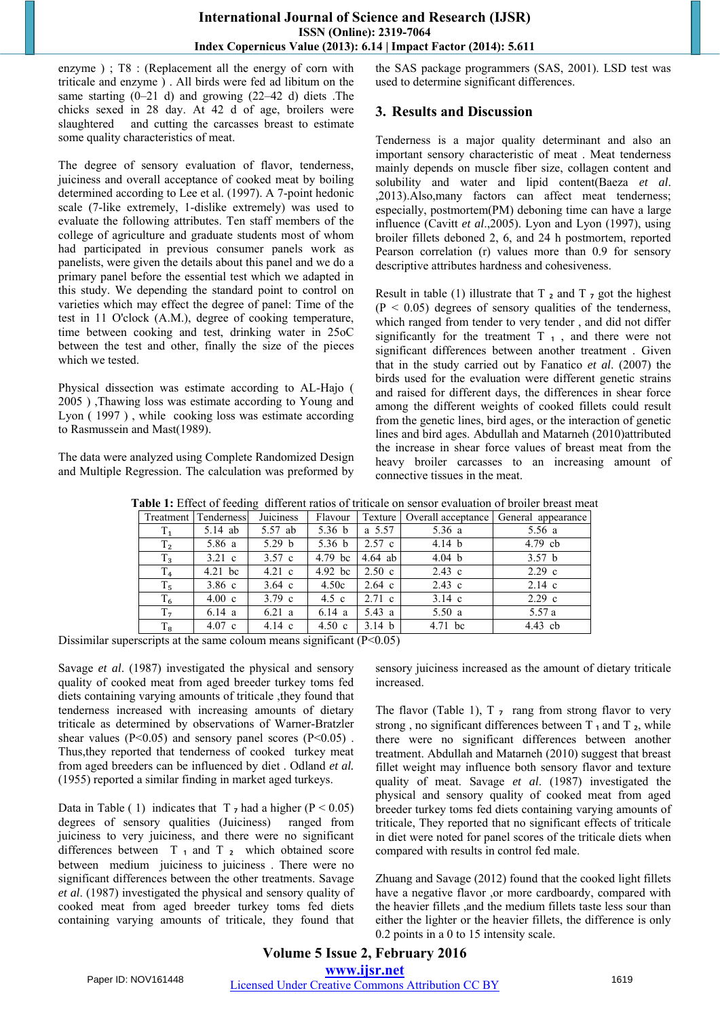## **International Journal of Science and Research (IJSR) ISSN (Online): 2319-7064 Index Copernicus Value (2013): 6.14 | Impact Factor (2014): 5.611**

enzyme ) ; T8 : (Replacement all the energy of corn with triticale and enzyme ) . All birds were fed ad libitum on the same starting (0–21 d) and growing (22–42 d) diets .The chicks sexed in 28 day. At 42 d of age, broilers were slaughtered and cutting the carcasses breast to estimate some quality characteristics of meat.

The degree of sensory evaluation of flavor, tenderness, juiciness and overall acceptance of cooked meat by boiling determined according to Lee et al. (1997). A 7-point hedonic scale (7-like extremely, 1-dislike extremely) was used to evaluate the following attributes. Ten staff members of the college of agriculture and graduate students most of whom had participated in previous consumer panels work as panelists, were given the details about this panel and we do a primary panel before the essential test which we adapted in this study. We depending the standard point to control on varieties which may effect the degree of panel: Time of the test in 11 O'clock (A.M.), degree of cooking temperature, time between cooking and test, drinking water in 25oC between the test and other, finally the size of the pieces which we tested.

Physical dissection was estimate according to AL-Hajo ( 2005 ) ,Thawing loss was estimate according to Young and Lyon ( 1997 ) , while cooking loss was estimate according to Rasmussein and Mast(1989).

The data were analyzed using Complete Randomized Design and Multiple Regression. The calculation was preformed by the SAS package programmers (SAS, 2001). LSD test was used to determine significant differences.

# **3. Results and Discussion**

Tenderness is a major quality determinant and also an important sensory characteristic of meat . Meat tenderness mainly depends on muscle fiber size, collagen content and solubility and water and lipid content(Baeza *et al*. ,2013).Also,many factors can affect meat tenderness; especially, postmortem(PM) deboning time can have a large influence (Cavitt *et al*.,2005). Lyon and Lyon (1997), using broiler fillets deboned 2, 6, and 24 h postmortem, reported Pearson correlation (r) values more than 0.9 for sensory descriptive attributes hardness and cohesiveness.

Result in table (1) illustrate that  $T_2$  and  $T_7$  got the highest  $(P < 0.05)$  degrees of sensory qualities of the tenderness, which ranged from tender to very tender , and did not differ significantly for the treatment  $T_1$ , and there were not significant differences between another treatment . Given that in the study carried out by Fanatico *et al*. (2007) the birds used for the evaluation were different genetic strains and raised for different days, the differences in shear force among the different weights of cooked fillets could result from the genetic lines, bird ages, or the interaction of genetic lines and bird ages. Abdullah and Matarneh (2010)attributed the increase in shear force values of breast meat from the heavy broiler carcasses to an increasing amount of connective tissues in the meat.

| <b>Table 1:</b> Effect of feeding different ratios of triticale on sensor evaluation of broiler breast meat |                  |                                            |                  |                  |                                                                                    |
|-------------------------------------------------------------------------------------------------------------|------------------|--------------------------------------------|------------------|------------------|------------------------------------------------------------------------------------|
|                                                                                                             |                  | Flavour                                    |                  |                  |                                                                                    |
| $5.14$ ab                                                                                                   | 5.57 ab          | 5.36 $b$                                   |                  | 5.36 a           | 5.56a                                                                              |
| 5.86 a                                                                                                      | 5.29 $b$         | 5.36 $b$                                   |                  | 4.14 $b$         | $4.79$ cb                                                                          |
| 3.21 c                                                                                                      | 3.57c            | $4.79$ bc                                  |                  | 4.04 b           | 3.57 <sub>b</sub>                                                                  |
| $4.21$ bc                                                                                                   | $4.21\text{ c}$  | $4.92$ bc                                  | 2.50c            | $2.43 \text{ c}$ | $2.29 \text{ c}$                                                                   |
| $3.86\text{ c}$                                                                                             | $3.64 \text{ c}$ | 4.50c                                      | $2.64$ c         | $2.43 \text{ c}$ | $2.14 \text{ c}$                                                                   |
| $4.00\text{ c}$                                                                                             | $3.79 \text{ c}$ | 4.5 c                                      | $2.71 \text{ c}$ | $3.14 \text{ c}$ | $2.29$ c                                                                           |
| 6.14 a                                                                                                      | 6.21 a           | 6.14 a                                     | 5.43 a           | 5.50a            | 5.57a                                                                              |
| $4.07$ c                                                                                                    | 4.14 c           | $4.50\text{ c}$                            | 3.14 b           | $4.71$ bc        | $4.43$ cb                                                                          |
|                                                                                                             |                  | <b>Juiciness</b><br>Treatment   Tenderness |                  |                  | Texture   Overall acceptance   General appearance<br>a 5.57<br>$2.57$ c<br>4.64 ab |

**Table 1:** Effect of feeding different ratios of triticale on sensor evaluation of broiler breast meat

Dissimilar superscripts at the same coloum means significant  $(P<0.05)$ 

Savage *et al*. (1987) investigated the physical and sensory quality of cooked meat from aged breeder turkey toms fed diets containing varying amounts of triticale ,they found that tenderness increased with increasing amounts of dietary triticale as determined by observations of Warner-Bratzler shear values ( $P<0.05$ ) and sensory panel scores ( $P<0.05$ ). Thus,they reported that tenderness of cooked turkey meat from aged breeders can be influenced by diet . Odland *et al.* (1955) reported a similar finding in market aged turkeys.

Data in Table (1) indicates that  $T_7$  had a higher (P < 0.05) degrees of sensory qualities (Juiciness) ranged from juiciness to very juiciness, and there were no significant differences between  $T_1$  and  $T_2$  which obtained score between medium juiciness to juiciness . There were no significant differences between the other treatments. Savage *et al*. (1987) investigated the physical and sensory quality of cooked meat from aged breeder turkey toms fed diets containing varying amounts of triticale, they found that sensory juiciness increased as the amount of dietary triticale increased.

The flavor (Table 1),  $T_7$  rang from strong flavor to very strong, no significant differences between  $T_1$  and  $T_2$ , while there were no significant differences between another treatment. Abdullah and Matarneh (2010) suggest that breast fillet weight may influence both sensory flavor and texture quality of meat. Savage *et al*. (1987) investigated the physical and sensory quality of cooked meat from aged breeder turkey toms fed diets containing varying amounts of triticale, They reported that no significant effects of triticale in diet were noted for panel scores of the triticale diets when compared with results in control fed male.

Zhuang and Savage (2012) found that the cooked light fillets have a negative flavor ,or more cardboardy, compared with the heavier fillets ,and the medium fillets taste less sour than either the lighter or the heavier fillets, the difference is only 0.2 points in a 0 to 15 intensity scale.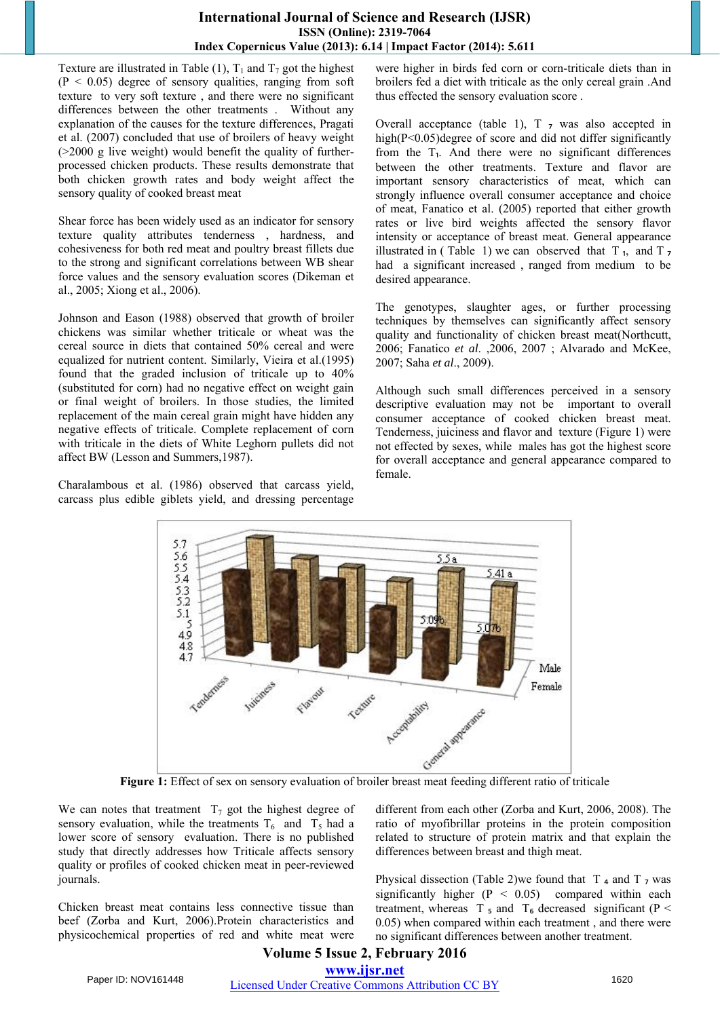## **International Journal of Science and Research (IJSR) ISSN (Online): 2319-7064 Index Copernicus Value (2013): 6.14 | Impact Factor (2014): 5.611**

Texture are illustrated in Table (1),  $T_1$  and  $T_7$  got the highest  $(P < 0.05)$  degree of sensory qualities, ranging from soft texture to very soft texture , and there were no significant differences between the other treatments . Without any explanation of the causes for the texture differences, Pragati et al. (2007) concluded that use of broilers of heavy weight (>2000 g live weight) would benefit the quality of furtherprocessed chicken products. These results demonstrate that both chicken growth rates and body weight affect the sensory quality of cooked breast meat

Shear force has been widely used as an indicator for sensory texture quality attributes tenderness , hardness, and cohesiveness for both red meat and poultry breast fillets due to the strong and significant correlations between WB shear force values and the sensory evaluation scores (Dikeman et al., 2005; Xiong et al., 2006).

Johnson and Eason (1988) observed that growth of broiler chickens was similar whether triticale or wheat was the cereal source in diets that contained 50% cereal and were equalized for nutrient content. Similarly, Vieira et al.(1995) found that the graded inclusion of triticale up to 40% (substituted for corn) had no negative effect on weight gain or final weight of broilers. In those studies, the limited replacement of the main cereal grain might have hidden any negative effects of triticale. Complete replacement of corn with triticale in the diets of White Leghorn pullets did not affect BW (Lesson and Summers,1987).

Charalambous et al. (1986) observed that carcass yield, carcass plus edible giblets yield, and dressing percentage were higher in birds fed corn or corn-triticale diets than in broilers fed a diet with triticale as the only cereal grain .And thus effected the sensory evaluation score .

Overall acceptance (table 1),  $T$   $7$  was also accepted in high(P<0.05)degree of score and did not differ significantly from the  $T_1$ . And there were no significant differences between the other treatments. Texture and flavor are important sensory characteristics of meat, which can strongly influence overall consumer acceptance and choice of meat, Fanatico et al. (2005) reported that either growth rates or live bird weights affected the sensory flavor intensity or acceptance of breast meat. General appearance illustrated in (Table 1) we can observed that  $T_1$ , and  $T_7$ had a significant increased , ranged from medium to be desired appearance.

The genotypes, slaughter ages, or further processing techniques by themselves can significantly affect sensory quality and functionality of chicken breast meat(Northcutt, 2006; Fanatico *et al*. ,2006, 2007 ; Alvarado and McKee, 2007; Saha *et al*., 2009).

Although such small differences perceived in a sensory descriptive evaluation may not be important to overall consumer acceptance of cooked chicken breast meat. Tenderness, juiciness and flavor and texture (Figure 1) were not effected by sexes, while males has got the highest score for overall acceptance and general appearance compared to female.



We can notes that treatment  $T_7$  got the highest degree of sensory evaluation, while the treatments  $T_6$  and  $T_5$  had a lower score of sensory evaluation. There is no published study that directly addresses how Triticale affects sensory quality or profiles of cooked chicken meat in peer-reviewed journals.

Chicken breast meat contains less connective tissue than beef (Zorba and Kurt, 2006).Protein characteristics and physicochemical properties of red and white meat were different from each other (Zorba and Kurt, 2006, 2008). The ratio of myofibrillar proteins in the protein composition related to structure of protein matrix and that explain the differences between breast and thigh meat.

Physical dissection (Table 2)we found that  $T_4$  and  $T_7$  was significantly higher  $(P < 0.05)$  compared within each treatment, whereas T  $_5$  and T<sub>6</sub> decreased significant (P  $\leq$ 0.05) when compared within each treatment , and there were no significant differences between another treatment.

## **Volume 5 Issue 2, February 2016 www.ijsr.net** Paper ID: NOV161448 Licensed Under Creative Commons Attribution CC BY 1620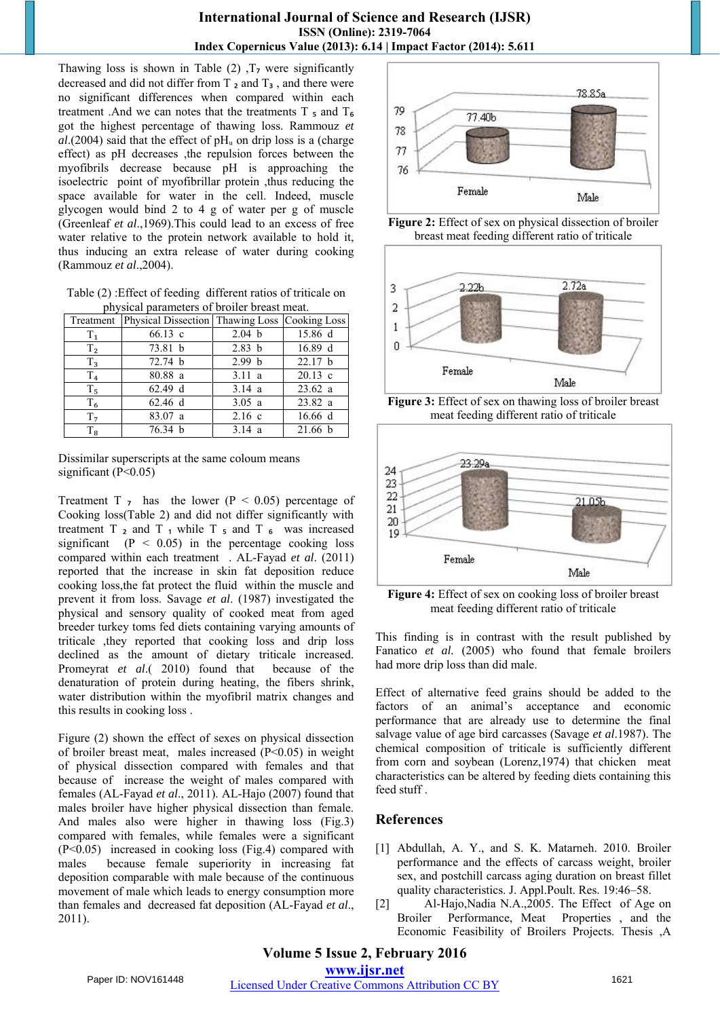Thawing loss is shown in Table  $(2)$ ,  $T<sub>7</sub>$  were significantly decreased and did not differ from T<sub>2</sub> and T<sub>3</sub>, and there were no significant differences when compared within each treatment .And we can notes that the treatments  $T_5$  and  $T_6$ got the highest percentage of thawing loss. Rammouz *et*   $al$ .(2004) said that the effect of  $pH<sub>u</sub>$  on drip loss is a (charge effect) as pH decreases ,the repulsion forces between the myofibrils decrease because pH is approaching the isoelectric point of myofibrillar protein ,thus reducing the space available for water in the cell. Indeed, muscle glycogen would bind 2 to 4 g of water per g of muscle (Greenleaf *et al*.,1969).This could lead to an excess of free water relative to the protein network available to hold it, thus inducing an extra release of water during cooking (Rammouz *et al*.,2004).

Table (2) :Effect of feeding different ratios of triticale on physical parameters of broiler breast meat.

|                | Treatment Physical Dissection Thawing Loss Cooking Loss |                   |           |
|----------------|---------------------------------------------------------|-------------------|-----------|
| $T_{1}$        | $66.13 \text{ c}$                                       | 2.04 b            | 15.86 d   |
| T <sub>2</sub> | 73.81 b                                                 | 2.83 b            | 16.89 d   |
| $T_3$          | 72.74 b                                                 | 2.99 <sub>b</sub> | 22.17 b   |
| T <sub>4</sub> | 80.88 a                                                 | 3.11a             | $20.13$ c |
| $T_5$          | 62.49 d                                                 | 3.14 a            | 23.62 a   |
| $T_6$          | 62.46 d                                                 | 3.05 a            | 23.82 a   |
| T <sub>7</sub> | 83.07 a                                                 | $2.16$ c          | 16.66 d   |
| $T_8$          | 76.34 b                                                 | 3.14a             | 21.66 b   |

Dissimilar superscripts at the same coloum means significant  $(P<0.05)$ 

Treatment T  $_7$  has the lower (P < 0.05) percentage of Cooking loss(Table 2) and did not differ significantly with treatment  $T_2$  and  $T_1$  while  $T_5$  and  $T_6$  was increased significant  $(P < 0.05)$  in the percentage cooking loss compared within each treatment . AL-Fayad *et al*. (2011) reported that the increase in skin fat deposition reduce cooking loss,the fat protect the fluid within the muscle and prevent it from loss. Savage *et al*. (1987) investigated the physical and sensory quality of cooked meat from aged breeder turkey toms fed diets containing varying amounts of triticale ,they reported that cooking loss and drip loss declined as the amount of dietary triticale increased. Promeyrat *et al*.( 2010) found that because of the denaturation of protein during heating, the fibers shrink, water distribution within the myofibril matrix changes and this results in cooking loss .

Figure (2) shown the effect of sexes on physical dissection of broiler breast meat, males increased (P˂0.05) in weight of physical dissection compared with females and that because of increase the weight of males compared with females (AL-Fayad *et al*., 2011). AL-Hajo (2007) found that males broiler have higher physical dissection than female. And males also were higher in thawing loss (Fig.3) compared with females, while females were a significant (P˂0.05) increased in cooking loss (Fig.4) compared with males because female superiority in increasing fat deposition comparable with male because of the continuous movement of male which leads to energy consumption more than females and decreased fat deposition (AL-Fayad *et al*., 2011).







**Figure 3:** Effect of sex on thawing loss of broiler breast meat feeding different ratio of triticale



**Figure 4:** Effect of sex on cooking loss of broiler breast meat feeding different ratio of triticale

This finding is in contrast with the result published by Fanatico *et al.* (2005) who found that female broilers had more drip loss than did male.

Effect of alternative feed grains should be added to the factors of an animal's acceptance and economic performance that are already use to determine the final salvage value of age bird carcasses (Savage *et al*.1987). The chemical composition of triticale is sufficiently different from corn and soybean (Lorenz,1974) that chicken meat characteristics can be altered by feeding diets containing this feed stuff .

# **References**

- [1] Abdullah, A. Y., and S. K. Matarneh. 2010. Broiler performance and the effects of carcass weight, broiler sex, and postchill carcass aging duration on breast fillet quality characteristics. J. Appl.Poult. Res. 19:46–58.
- [2] Al-Hajo,Nadia N.A.,2005. The Effect of Age on Broiler Performance, Meat Properties , and the Economic Feasibility of Broilers Projects. Thesis ,A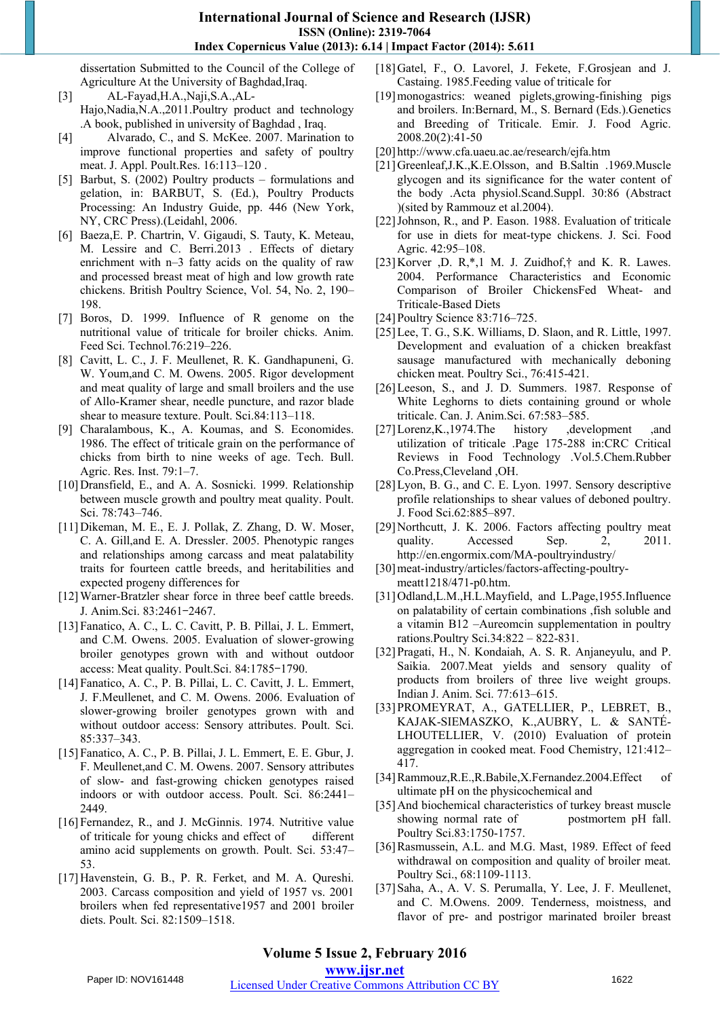dissertation Submitted to the Council of the College of Agriculture At the University of Baghdad,Iraq.

- [3] AL-Fayad,H.A.,Naji,S.A.,AL-Hajo,Nadia,N.A.,2011.Poultry product and technology .A book, published in university of Baghdad , Iraq.
- [4] Alvarado, C., and S. McKee. 2007. Marination to improve functional properties and safety of poultry meat. J. Appl. Poult.Res. 16:113–120 .
- [5] Barbut, S. (2002) Poultry products formulations and gelation, in: BARBUT, S. (Ed.), Poultry Products Processing: An Industry Guide, pp. 446 (New York, NY, CRC Press).(Leidahl, 2006.
- [6] Baeza,E. P. Chartrin, V. Gigaudi, S. Tauty, K. Meteau, M. Lessire and C. Berri.2013 . Effects of dietary enrichment with n–3 fatty acids on the quality of raw and processed breast meat of high and low growth rate chickens. British Poultry Science, Vol. 54, No. 2, 190– 198.
- [7] Boros, D. 1999. Influence of R genome on the nutritional value of triticale for broiler chicks. Anim. Feed Sci. Technol.76:219–226.
- [8] Cavitt, L. C., J. F. Meullenet, R. K. Gandhapuneni, G. W. Youm,and C. M. Owens. 2005. Rigor development and meat quality of large and small broilers and the use of Allo-Kramer shear, needle puncture, and razor blade shear to measure texture. Poult. Sci.84:113–118.
- [9] Charalambous, K., A. Koumas, and S. Economides. 1986. The effect of triticale grain on the performance of chicks from birth to nine weeks of age. Tech. Bull. Agric. Res. Inst. 79:1–7.
- [10]Dransfield, E., and A. A. Sosnicki. 1999. Relationship between muscle growth and poultry meat quality. Poult. Sci. 78:743–746.
- [11]Dikeman, M. E., E. J. Pollak, Z. Zhang, D. W. Moser, C. A. Gill,and E. A. Dressler. 2005. Phenotypic ranges and relationships among carcass and meat palatability traits for fourteen cattle breeds, and heritabilities and expected progeny differences for
- [12] Warner-Bratzler shear force in three beef cattle breeds. J. Anim.Sci. 83:2461–2467.
- [13]Fanatico, A. C., L. C. Cavitt, P. B. Pillai, J. L. Emmert, and C.M. Owens. 2005. Evaluation of slower-growing broiler genotypes grown with and without outdoor access: Meat quality. Poult.Sci. 84:1785–1790.
- [14]Fanatico, A. C., P. B. Pillai, L. C. Cavitt, J. L. Emmert, J. F.Meullenet, and C. M. Owens. 2006. Evaluation of slower-growing broiler genotypes grown with and without outdoor access: Sensory attributes. Poult. Sci. 85:337–343.
- [15]Fanatico, A. C., P. B. Pillai, J. L. Emmert, E. E. Gbur, J. F. Meullenet,and C. M. Owens. 2007. Sensory attributes of slow- and fast-growing chicken genotypes raised indoors or with outdoor access. Poult. Sci. 86:2441– 2449.
- [16] Fernandez, R., and J. McGinnis. 1974. Nutritive value of triticale for young chicks and effect of different amino acid supplements on growth. Poult. Sci. 53:47– 53.
- [17] Havenstein, G. B., P. R. Ferket, and M. A. Qureshi. 2003. Carcass composition and yield of 1957 vs. 2001 broilers when fed representative1957 and 2001 broiler diets. Poult. Sci. 82:1509–1518.
- [18]Gatel, F., O. Lavorel, J. Fekete, F.Grosjean and J. Castaing. 1985.Feeding value of triticale for
- [19]monogastrics: weaned piglets,growing-finishing pigs and broilers. In:Bernard, M., S. Bernard (Eds.).Genetics and Breeding of Triticale. Emir. J. Food Agric. 2008.20(2):41-50
- [20] http://www.cfa.uaeu.ac.ae/research/ejfa.htm
- [21]Greenleaf,J.K.,K.E.Olsson, and B.Saltin .1969.Muscle glycogen and its significance for the water content of the body .Acta physiol.Scand.Suppl. 30:86 (Abstract )(sited by Rammouz et al.2004).
- [22]Johnson, R., and P. Eason. 1988. Evaluation of triticale for use in diets for meat-type chickens. J. Sci. Food Agric. 42:95–108.
- [23]Korver ,D. R,\*,1 M. J. Zuidhof,† and K. R. Lawes. 2004. Performance Characteristics and Economic Comparison of Broiler ChickensFed Wheat- and Triticale-Based Diets
- [24]Poultry Science 83:716–725.
- [25] Lee, T. G., S.K. Williams, D. Slaon, and R. Little, 1997. Development and evaluation of a chicken breakfast sausage manufactured with mechanically deboning chicken meat. Poultry Sci., 76:415-421.
- [26] Leeson, S., and J. D. Summers. 1987. Response of White Leghorns to diets containing ground or whole triticale. Can. J. Anim.Sci. 67:583–585.
- [27]Lorenz,K.,1974.The history ,development ,and utilization of triticale .Page 175-288 in:CRC Critical Reviews in Food Technology .Vol.5.Chem.Rubber Co.Press,Cleveland ,OH.
- [28] Lyon, B. G., and C. E. Lyon. 1997. Sensory descriptive profile relationships to shear values of deboned poultry. J. Food Sci.62:885–897.
- [29]Northcutt, J. K. 2006. Factors affecting poultry meat quality. Accessed Sep. 2, 2011. http://en.engormix.com/MA-poultryindustry/
- [30]meat-industry/articles/factors-affecting-poultrymeatt1218/471-p0.htm.
- [31]Odland, L.M., H.L.Mayfield, and L.Page, 1955. Influence on palatability of certain combinations ,fish soluble and a vitamin B12 –Aureomcin supplementation in poultry rations.Poultry Sci.34:822 – 822-831.
- [32]Pragati, H., N. Kondaiah, A. S. R. Anjaneyulu, and P. Saikia. 2007.Meat yields and sensory quality of products from broilers of three live weight groups. Indian J. Anim. Sci. 77:613–615.
- [33]PROMEYRAT, A., GATELLIER, P., LEBRET, B., KAJAK-SIEMASZKO, K.,AUBRY, L. & SANTÉ-LHOUTELLIER, V. (2010) Evaluation of protein aggregation in cooked meat. Food Chemistry, 121:412– 417.
- [34]Rammouz,R.E.,R.Babile,X.Fernandez.2004.Effect of ultimate pH on the physicochemical and
- [35] And biochemical characteristics of turkey breast muscle showing normal rate of postmortem pH fall. Poultry Sci.83:1750-1757.
- [36]Rasmussein, A.L. and M.G. Mast, 1989. Effect of feed withdrawal on composition and quality of broiler meat. Poultry Sci., 68:1109-1113.
- [37]Saha, A., A. V. S. Perumalla, Y. Lee, J. F. Meullenet, and C. M.Owens. 2009. Tenderness, moistness, and flavor of pre- and postrigor marinated broiler breast